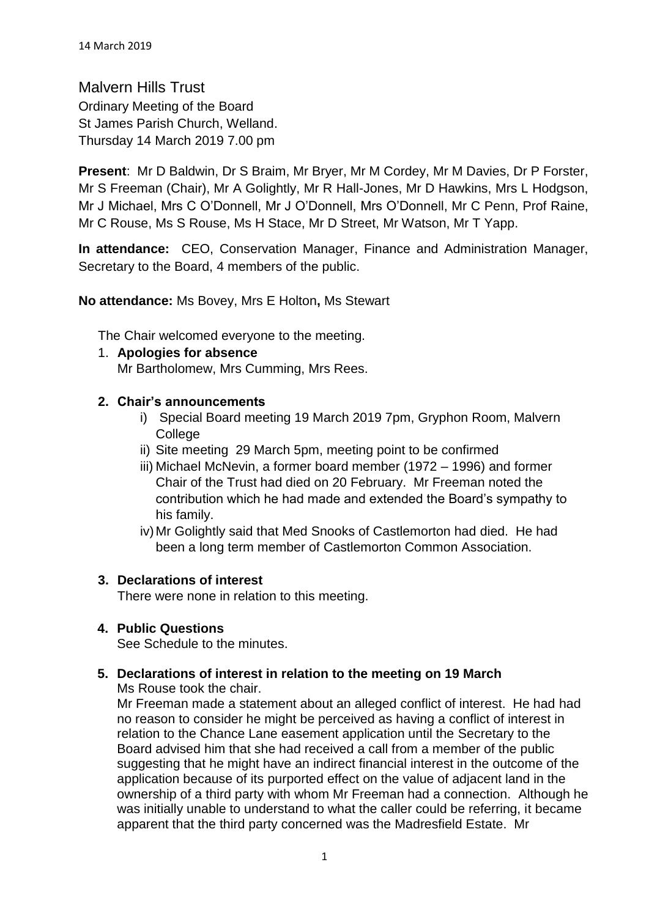Malvern Hills Trust Ordinary Meeting of the Board St James Parish Church, Welland. Thursday 14 March 2019 7.00 pm

**Present**: Mr D Baldwin, Dr S Braim, Mr Bryer, Mr M Cordey, Mr M Davies, Dr P Forster, Mr S Freeman (Chair), Mr A Golightly, Mr R Hall-Jones, Mr D Hawkins, Mrs L Hodgson, Mr J Michael, Mrs C O'Donnell, Mr J O'Donnell, Mrs O'Donnell, Mr C Penn, Prof Raine, Mr C Rouse, Ms S Rouse, Ms H Stace, Mr D Street, Mr Watson, Mr T Yapp.

**In attendance:** CEO, Conservation Manager, Finance and Administration Manager, Secretary to the Board, 4 members of the public.

**No attendance:** Ms Bovey, Mrs E Holton**,** Ms Stewart

The Chair welcomed everyone to the meeting.

1. **Apologies for absence** Mr Bartholomew, Mrs Cumming, Mrs Rees.

## **2. Chair's announcements**

- i) Special Board meeting 19 March 2019 7pm, Gryphon Room, Malvern College
- ii) Site meeting 29 March 5pm, meeting point to be confirmed
- iii) Michael McNevin, a former board member (1972 1996) and former Chair of the Trust had died on 20 February. Mr Freeman noted the contribution which he had made and extended the Board's sympathy to his family.
- iv)Mr Golightly said that Med Snooks of Castlemorton had died. He had been a long term member of Castlemorton Common Association.

# **3. Declarations of interest**

There were none in relation to this meeting.

# **4. Public Questions**

See Schedule to the minutes.

# **5. Declarations of interest in relation to the meeting on 19 March**

Ms Rouse took the chair.

Mr Freeman made a statement about an alleged conflict of interest. He had had no reason to consider he might be perceived as having a conflict of interest in relation to the Chance Lane easement application until the Secretary to the Board advised him that she had received a call from a member of the public suggesting that he might have an indirect financial interest in the outcome of the application because of its purported effect on the value of adjacent land in the ownership of a third party with whom Mr Freeman had a connection. Although he was initially unable to understand to what the caller could be referring, it became apparent that the third party concerned was the Madresfield Estate. Mr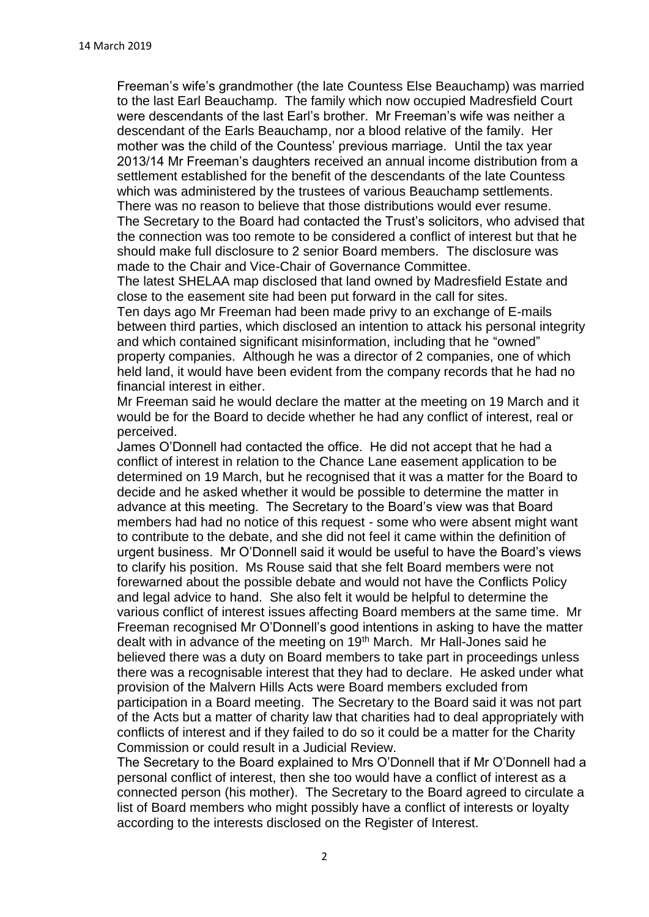Freeman's wife's grandmother (the late Countess Else Beauchamp) was married to the last Earl Beauchamp. The family which now occupied Madresfield Court were descendants of the last Earl's brother. Mr Freeman's wife was neither a descendant of the Earls Beauchamp, nor a blood relative of the family. Her mother was the child of the Countess' previous marriage. Until the tax year 2013/14 Mr Freeman's daughters received an annual income distribution from a settlement established for the benefit of the descendants of the late Countess which was administered by the trustees of various Beauchamp settlements. There was no reason to believe that those distributions would ever resume.

The Secretary to the Board had contacted the Trust's solicitors, who advised that the connection was too remote to be considered a conflict of interest but that he should make full disclosure to 2 senior Board members. The disclosure was made to the Chair and Vice-Chair of Governance Committee.

The latest SHELAA map disclosed that land owned by Madresfield Estate and close to the easement site had been put forward in the call for sites.

Ten days ago Mr Freeman had been made privy to an exchange of E-mails between third parties, which disclosed an intention to attack his personal integrity and which contained significant misinformation, including that he "owned" property companies. Although he was a director of 2 companies, one of which held land, it would have been evident from the company records that he had no financial interest in either.

Mr Freeman said he would declare the matter at the meeting on 19 March and it would be for the Board to decide whether he had any conflict of interest, real or perceived.

James O'Donnell had contacted the office. He did not accept that he had a conflict of interest in relation to the Chance Lane easement application to be determined on 19 March, but he recognised that it was a matter for the Board to decide and he asked whether it would be possible to determine the matter in advance at this meeting. The Secretary to the Board's view was that Board members had had no notice of this request - some who were absent might want to contribute to the debate, and she did not feel it came within the definition of urgent business. Mr O'Donnell said it would be useful to have the Board's views to clarify his position. Ms Rouse said that she felt Board members were not forewarned about the possible debate and would not have the Conflicts Policy and legal advice to hand. She also felt it would be helpful to determine the various conflict of interest issues affecting Board members at the same time. Mr Freeman recognised Mr O'Donnell's good intentions in asking to have the matter dealt with in advance of the meeting on 19<sup>th</sup> March. Mr Hall-Jones said he believed there was a duty on Board members to take part in proceedings unless there was a recognisable interest that they had to declare. He asked under what provision of the Malvern Hills Acts were Board members excluded from participation in a Board meeting. The Secretary to the Board said it was not part of the Acts but a matter of charity law that charities had to deal appropriately with conflicts of interest and if they failed to do so it could be a matter for the Charity Commission or could result in a Judicial Review.

The Secretary to the Board explained to Mrs O'Donnell that if Mr O'Donnell had a personal conflict of interest, then she too would have a conflict of interest as a connected person (his mother). The Secretary to the Board agreed to circulate a list of Board members who might possibly have a conflict of interests or loyalty according to the interests disclosed on the Register of Interest.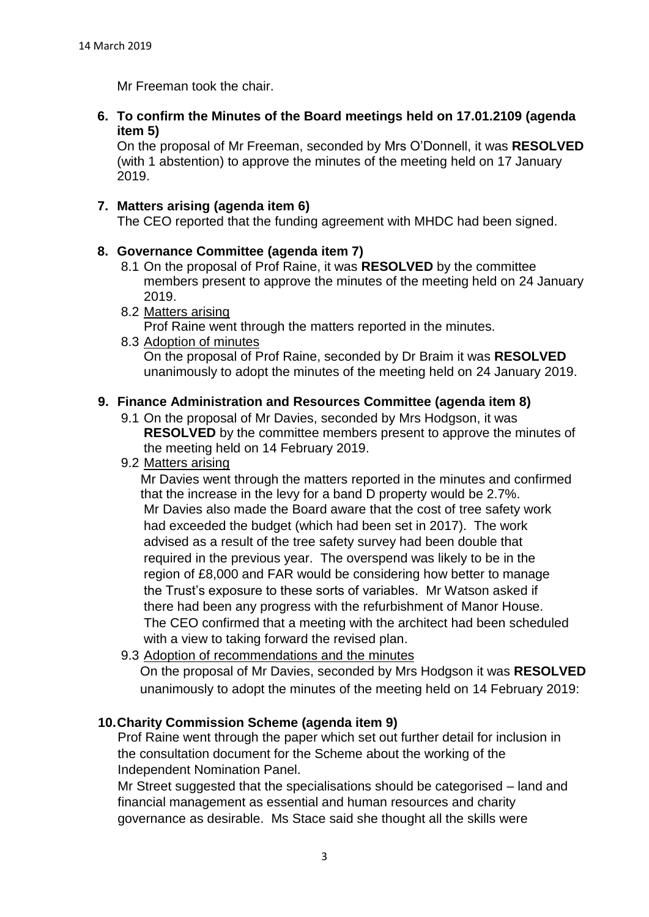Mr Freeman took the chair.

**6. To confirm the Minutes of the Board meetings held on 17.01.2109 (agenda item 5)**

On the proposal of Mr Freeman, seconded by Mrs O'Donnell, it was **RESOLVED** (with 1 abstention) to approve the minutes of the meeting held on 17 January 2019.

## **7. Matters arising (agenda item 6)**

The CEO reported that the funding agreement with MHDC had been signed.

## **8. Governance Committee (agenda item 7)**

- 8.1 On the proposal of Prof Raine, it was **RESOLVED** by the committee members present to approve the minutes of the meeting held on 24 January 2019.
- 8.2 Matters arising Prof Raine went through the matters reported in the minutes.
- 8.3 Adoption of minutes On the proposal of Prof Raine, seconded by Dr Braim it was **RESOLVED** unanimously to adopt the minutes of the meeting held on 24 January 2019.

## **9. Finance Administration and Resources Committee (agenda item 8)**

- 9.1 On the proposal of Mr Davies, seconded by Mrs Hodgson, it was **RESOLVED** by the committee members present to approve the minutes of the meeting held on 14 February 2019.
- 9.2 Matters arising

Mr Davies went through the matters reported in the minutes and confirmed that the increase in the levy for a band D property would be 2.7%. Mr Davies also made the Board aware that the cost of tree safety work had exceeded the budget (which had been set in 2017). The work advised as a result of the tree safety survey had been double that required in the previous year. The overspend was likely to be in the region of £8,000 and FAR would be considering how better to manage the Trust's exposure to these sorts of variables. Mr Watson asked if there had been any progress with the refurbishment of Manor House. The CEO confirmed that a meeting with the architect had been scheduled with a view to taking forward the revised plan.

9.3 Adoption of recommendations and the minutes

On the proposal of Mr Davies, seconded by Mrs Hodgson it was **RESOLVED** unanimously to adopt the minutes of the meeting held on 14 February 2019:

#### **10.Charity Commission Scheme (agenda item 9)**

Prof Raine went through the paper which set out further detail for inclusion in the consultation document for the Scheme about the working of the Independent Nomination Panel.

Mr Street suggested that the specialisations should be categorised – land and financial management as essential and human resources and charity governance as desirable. Ms Stace said she thought all the skills were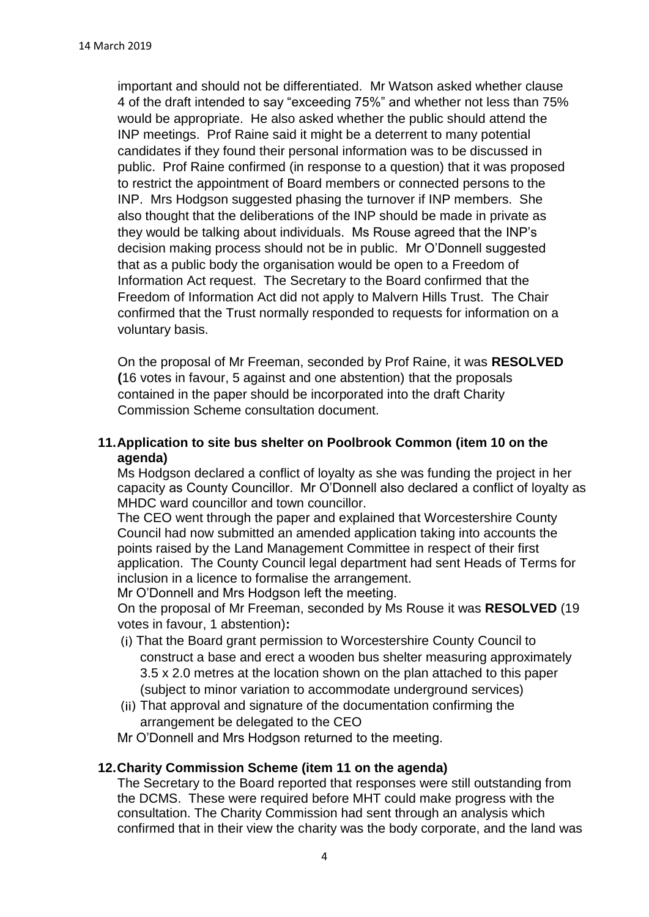important and should not be differentiated. Mr Watson asked whether clause 4 of the draft intended to say "exceeding 75%" and whether not less than 75% would be appropriate. He also asked whether the public should attend the INP meetings. Prof Raine said it might be a deterrent to many potential candidates if they found their personal information was to be discussed in public. Prof Raine confirmed (in response to a question) that it was proposed to restrict the appointment of Board members or connected persons to the INP. Mrs Hodgson suggested phasing the turnover if INP members. She also thought that the deliberations of the INP should be made in private as they would be talking about individuals. Ms Rouse agreed that the INP's decision making process should not be in public. Mr O'Donnell suggested that as a public body the organisation would be open to a Freedom of Information Act request. The Secretary to the Board confirmed that the Freedom of Information Act did not apply to Malvern Hills Trust. The Chair confirmed that the Trust normally responded to requests for information on a voluntary basis.

On the proposal of Mr Freeman, seconded by Prof Raine, it was **RESOLVED (**16 votes in favour, 5 against and one abstention) that the proposals contained in the paper should be incorporated into the draft Charity Commission Scheme consultation document.

# **11.Application to site bus shelter on Poolbrook Common (item 10 on the agenda)**

Ms Hodgson declared a conflict of loyalty as she was funding the project in her capacity as County Councillor. Mr O'Donnell also declared a conflict of loyalty as MHDC ward councillor and town councillor.

The CEO went through the paper and explained that Worcestershire County Council had now submitted an amended application taking into accounts the points raised by the Land Management Committee in respect of their first application. The County Council legal department had sent Heads of Terms for inclusion in a licence to formalise the arrangement.

Mr O'Donnell and Mrs Hodgson left the meeting.

On the proposal of Mr Freeman, seconded by Ms Rouse it was **RESOLVED** (19 votes in favour, 1 abstention)**:**

- That the Board grant permission to Worcestershire County Council to construct a base and erect a wooden bus shelter measuring approximately 3.5 x 2.0 metres at the location shown on the plan attached to this paper (subject to minor variation to accommodate underground services)
- That approval and signature of the documentation confirming the arrangement be delegated to the CEO

Mr O'Donnell and Mrs Hodgson returned to the meeting.

# **12.Charity Commission Scheme (item 11 on the agenda)**

The Secretary to the Board reported that responses were still outstanding from the DCMS. These were required before MHT could make progress with the consultation. The Charity Commission had sent through an analysis which confirmed that in their view the charity was the body corporate, and the land was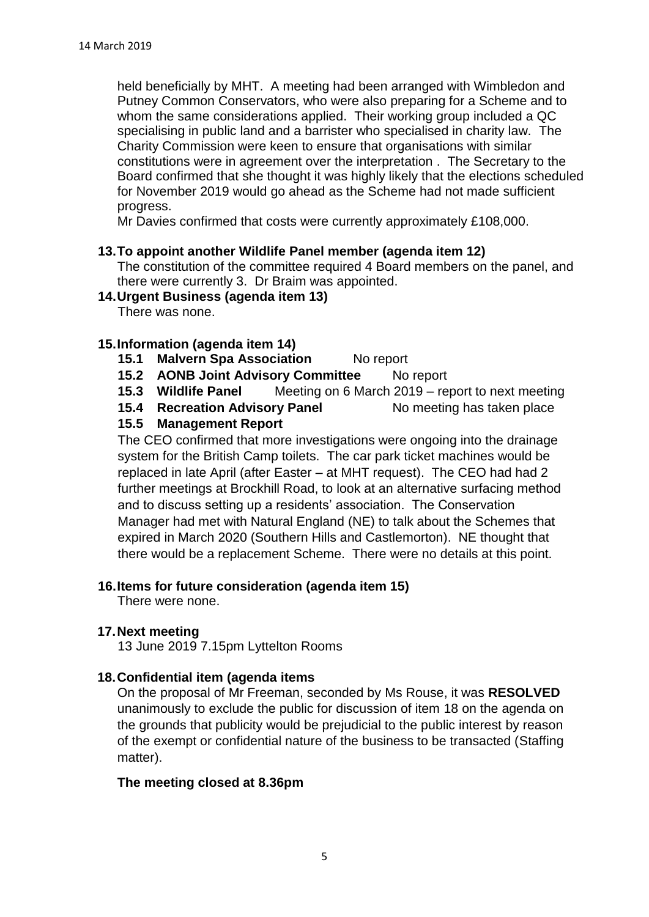held beneficially by MHT. A meeting had been arranged with Wimbledon and Putney Common Conservators, who were also preparing for a Scheme and to whom the same considerations applied. Their working group included a QC specialising in public land and a barrister who specialised in charity law. The Charity Commission were keen to ensure that organisations with similar constitutions were in agreement over the interpretation . The Secretary to the Board confirmed that she thought it was highly likely that the elections scheduled for November 2019 would go ahead as the Scheme had not made sufficient progress.

Mr Davies confirmed that costs were currently approximately £108,000.

## **13.To appoint another Wildlife Panel member (agenda item 12)**

The constitution of the committee required 4 Board members on the panel, and there were currently 3. Dr Braim was appointed.

#### **14.Urgent Business (agenda item 13)**

There was none.

## **15.Information (agenda item 14)**

- 15.1 **Malvern Spa Association** No report
- **15.2 AONB Joint Advisory Committee** No report
- **15.3 Wildlife Panel** Meeting on 6 March 2019 report to next meeting
- **15.4 Recreation Advisory Panel No meeting has taken place**

# **15.5 Management Report**

The CEO confirmed that more investigations were ongoing into the drainage system for the British Camp toilets. The car park ticket machines would be replaced in late April (after Easter – at MHT request). The CEO had had 2 further meetings at Brockhill Road, to look at an alternative surfacing method and to discuss setting up a residents' association. The Conservation Manager had met with Natural England (NE) to talk about the Schemes that expired in March 2020 (Southern Hills and Castlemorton). NE thought that there would be a replacement Scheme. There were no details at this point.

#### **16.Items for future consideration (agenda item 15)**

There were none.

#### **17.Next meeting**

13 June 2019 7.15pm Lyttelton Rooms

# **18.Confidential item (agenda items**

On the proposal of Mr Freeman, seconded by Ms Rouse, it was **RESOLVED** unanimously to exclude the public for discussion of item 18 on the agenda on the grounds that publicity would be prejudicial to the public interest by reason of the exempt or confidential nature of the business to be transacted (Staffing matter).

#### **The meeting closed at 8.36pm**